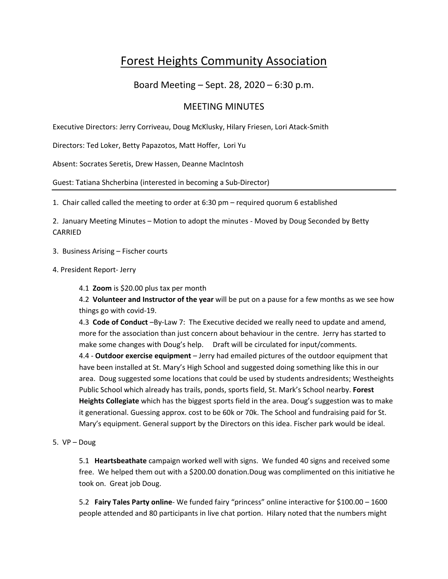# Forest Heights Community Association

## Board Meeting – Sept. 28, 2020 – 6:30 p.m.

## MEETING MINUTES

Executive Directors: Jerry Corriveau, Doug McKlusky, Hilary Friesen, Lori Atack‐Smith

Directors: Ted Loker, Betty Papazotos, Matt Hoffer, Lori Yu

Absent: Socrates Seretis, Drew Hassen, Deanne MacIntosh

Guest: Tatiana Shcherbina (interested in becoming a Sub‐Director)

1. Chair called called the meeting to order at 6:30 pm – required quorum 6 established

2. January Meeting Minutes – Motion to adopt the minutes ‐ Moved by Doug Seconded by Betty CARRIED

- 3. Business Arising Fischer courts
- 4. President Report‐ Jerry
	- 4.1 **Zoom** is \$20.00 plus tax per month

4.2 **Volunteer and Instructor of the year** will be put on a pause for a few months as we see how things go with covid‐19.

4.3 **Code of Conduct** –By‐Law 7: The Executive decided we really need to update and amend, more for the association than just concern about behaviour in the centre. Jerry has started to make some changes with Doug's help. Draft will be circulated for input/comments.

4.4 ‐ **Outdoor exercise equipment** – Jerry had emailed pictures of the outdoor equipment that have been installed at St. Mary's High School and suggested doing something like this in our area. Doug suggested some locations that could be used by students andresidents; Westheights Public School which already has trails, ponds, sports field, St. Mark's School nearby. **Forest Heights Collegiate** which has the biggest sports field in the area. Doug's suggestion was to make it generational. Guessing approx. cost to be 60k or 70k. The School and fundraising paid for St. Mary's equipment. General support by the Directors on this idea. Fischer park would be ideal.

5. VP – Doug

5.1 **Heartsbeathate** campaign worked well with signs. We funded 40 signs and received some free. We helped them out with a \$200.00 donation.Doug was complimented on this initiative he took on. Great job Doug.

5.2 **Fairy Tales Party online**‐ We funded fairy "princess" online interactive for \$100.00 – 1600 people attended and 80 participants in live chat portion. Hilary noted that the numbers might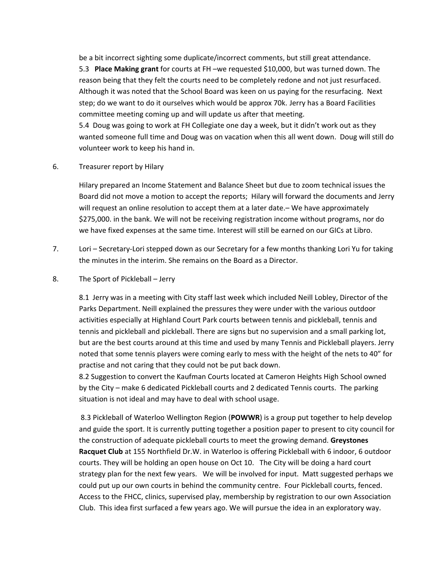be a bit incorrect sighting some duplicate/incorrect comments, but still great attendance. 5.3 **Place Making grant** for courts at FH –we requested \$10,000, but was turned down. The reason being that they felt the courts need to be completely redone and not just resurfaced. Although it was noted that the School Board was keen on us paying for the resurfacing. Next step; do we want to do it ourselves which would be approx 70k. Jerry has a Board Facilities committee meeting coming up and will update us after that meeting.

5.4 Doug was going to work at FH Collegiate one day a week, but it didn't work out as they wanted someone full time and Doug was on vacation when this all went down. Doug will still do volunteer work to keep his hand in.

6. Treasurer report by Hilary

Hilary prepared an Income Statement and Balance Sheet but due to zoom technical issues the Board did not move a motion to accept the reports; Hilary will forward the documents and Jerry will request an online resolution to accept them at a later date.– We have approximately \$275,000. in the bank. We will not be receiving registration income without programs, nor do we have fixed expenses at the same time. Interest will still be earned on our GICs at Libro.

- 7. Lori Secretary-Lori stepped down as our Secretary for a few months thanking Lori Yu for taking the minutes in the interim. She remains on the Board as a Director.
- 8. The Sport of Pickleball Jerry

8.1 Jerry was in a meeting with City staff last week which included Neill Lobley, Director of the Parks Department. Neill explained the pressures they were under with the various outdoor activities especially at Highland Court Park courts between tennis and pickleball, tennis and tennis and pickleball and pickleball. There are signs but no supervision and a small parking lot, but are the best courts around at this time and used by many Tennis and Pickleball players. Jerry noted that some tennis players were coming early to mess with the height of the nets to 40" for practise and not caring that they could not be put back down.

8.2 Suggestion to convert the Kaufman Courts located at Cameron Heights High School owned by the City – make 6 dedicated Pickleball courts and 2 dedicated Tennis courts. The parking situation is not ideal and may have to deal with school usage.

 8.3 Pickleball of Waterloo Wellington Region (**POWWR**) is a group put together to help develop and guide the sport. It is currently putting together a position paper to present to city council for the construction of adequate pickleball courts to meet the growing demand. **Greystones Racquet Club** at 155 Northfield Dr.W. in Waterloo is offering Pickleball with 6 indoor, 6 outdoor courts. They will be holding an open house on Oct 10. The City will be doing a hard court strategy plan for the next few years. We will be involved for input. Matt suggested perhaps we could put up our own courts in behind the community centre. Four Pickleball courts, fenced. Access to the FHCC, clinics, supervised play, membership by registration to our own Association Club. This idea first surfaced a few years ago. We will pursue the idea in an exploratory way.